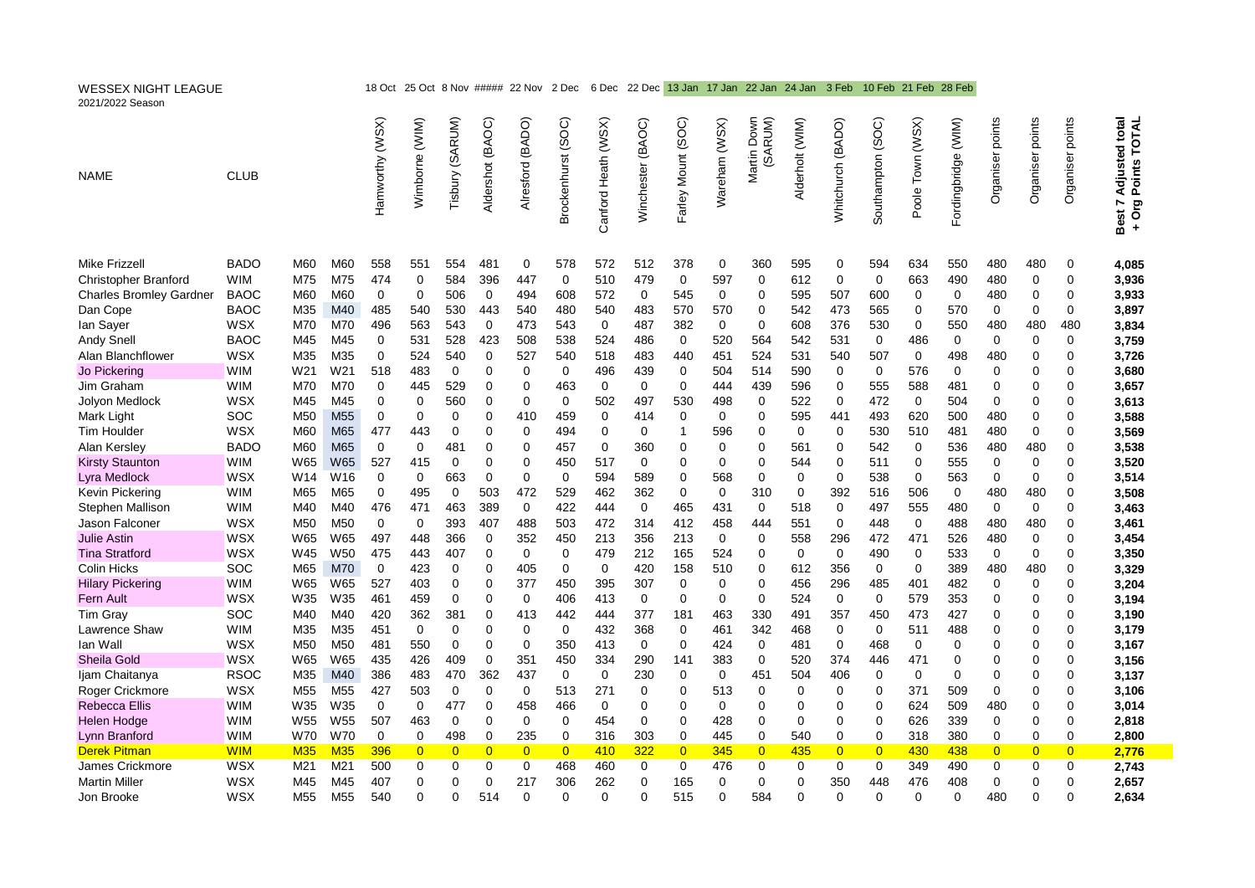| <b>WESSEX NIGHT LEAGUE</b><br>2021/2022 Season |                   |                 |                 | 18 Oct           |                |                 |                     | 25 Oct 8 Nov ##### 22 Nov | 2 Dec              |                     | 6 Dec 22 Dec 13 Jan 17 Jan 22 Jan 24 Jan |                    |               |                            |                 | 3 Feb              |                   | 10 Feb 21 Feb                    | 28 Feb              |                     |                     |                            |                                                                   |
|------------------------------------------------|-------------------|-----------------|-----------------|------------------|----------------|-----------------|---------------------|---------------------------|--------------------|---------------------|------------------------------------------|--------------------|---------------|----------------------------|-----------------|--------------------|-------------------|----------------------------------|---------------------|---------------------|---------------------|----------------------------|-------------------------------------------------------------------|
| <b>NAME</b>                                    | <b>CLUB</b>       |                 |                 | Hamworthy (WSX)  | Wimborne (WIM) | Tisbury (SARUM) | (BAOC)<br>Aldershot | (BADO)<br>Alresford       | Brockenhurst (SOC) | Canford Heath (WSX) | (BAOC)<br>Winchester                     | Farley Mount (SOC) | Wareham (WSX) | Martin Down<br>(SARUM)     | Alderholt (WIM) | Whitchurch (BADO)  | Southampton (SOC) | Town (WSX)<br>Poole <sup>'</sup> | Fordingbridge (WIM) | points<br>Organiser | points<br>Organiser | Organiser points           | <b>Adjusted total</b><br>Points TOTAL<br>Best 7<br>Org<br>$\ddag$ |
| <b>Mike Frizzell</b>                           | <b>BADO</b>       | M60             | M60             | 558              | 551            | 554             | 481                 | $\mathbf 0$               | 578                | 572                 | 512                                      | 378                | 0             | 360                        | 595             | 0                  | 594               | 634                              | 550                 | 480                 | 480                 | 0                          | 4,085                                                             |
| Christopher Branford                           | WIM               | M75             | M75             | 474              | 0              | 584             | 396                 | 447                       | 0                  | 510                 | 479                                      | 0                  | 597           | $\mathbf 0$                | 612             | $\mathbf 0$        | 0                 | 663                              | 490                 | 480                 | 0                   | $\mathbf 0$                | 3,936                                                             |
| <b>Charles Bromley Gardner</b>                 | BAOC              | M60             | M60             | 0                | 0              | 506             | 0                   | 494                       | 608                | 572                 | 0                                        | 545                | 0             | 0                          | 595             | 507                | 600               | 0                                | 0                   | 480                 | 0                   | 0                          | 3,933                                                             |
| Dan Cope                                       | BAOC              | M35             | M40             | 485              | 540            | 530             | 443                 | 540                       | 480                | 540                 | 483                                      | 570                | 570           | $\mathbf 0$                | 542             | 473                | 565               | 0                                | 570                 | 0                   | 0                   | $\mathbf 0$                | 3,897                                                             |
| lan Sayer                                      | <b>WSX</b>        | M70             | M70             | 496              | 563            | 543             | $\mathbf 0$         | 473                       | 543                | $\mathbf 0$         | 487                                      | 382                | 0             | $\mathbf 0$                | 608             | 376                | 530               | 0                                | 550                 | 480                 | 480                 | 480                        | 3,834                                                             |
| <b>Andy Snell</b>                              | <b>BAOC</b>       | M45             | M45             | $\mathbf 0$      | 531            | 528             | 423                 | 508                       | 538                | 524                 | 486                                      | $\mathbf 0$        | 520           | 564                        | 542             | 531                | 0                 | 486                              | $\Omega$            | 0                   | 0                   | $\Omega$                   | 3,759                                                             |
| Alan Blanchflower                              | WSX               | M35             | M35             | 0                | 524            | 540             | $\mathbf 0$         | 527                       | 540                | 518                 | 483                                      | 440                | 451           | 524                        | 531             | 540                | 507               | 0                                | 498                 | 480                 | 0                   | $\mathbf 0$                | 3,726                                                             |
| Jo Pickering                                   | WIM               | W <sub>21</sub> | W21             | 518              | 483            | $\mathbf 0$     | $\Omega$            | $\Omega$                  | 0                  | 496                 | 439                                      | $\mathbf 0$        | 504           | 514                        | 590             | 0                  | $\mathbf 0$       | 576                              | 0                   | 0                   | 0                   | 0                          | 3,680                                                             |
| Jim Graham                                     | <b>WIM</b>        | M70             | M70             | $\mathbf 0$      | 445            | 529             | 0                   | 0                         | 463                | $\mathbf 0$         | $\mathbf 0$                              | 0                  | 444           | 439                        | 596             | $\mathbf 0$        | 555               | 588                              | 481                 | 0                   | 0                   | 0                          | 3,657                                                             |
| Jolyon Medlock                                 | <b>WSX</b>        | M45             | M45             | $\Omega$         | 0              | 560             | 0                   | $\Omega$                  | 0                  | 502                 | 497                                      | 530                | 498           | $\mathbf 0$                | 522             | $\mathbf 0$        | 472               | 0                                | 504                 | 0                   | 0                   | $\Omega$                   | 3,613                                                             |
| Mark Light<br><b>Tim Houlder</b>               | SOC<br><b>WSX</b> | M50<br>M60      | M55<br>M65      | $\pmb{0}$<br>477 | 0<br>443       | 0<br>0          | 0<br>0              | 410<br>$\mathbf 0$        | 459<br>494         | $\mathbf 0$<br>0    | 414<br>0                                 | 0<br>$\mathbf{1}$  | 0<br>596      | $\mathbf 0$<br>$\mathbf 0$ | 595<br>0        | 441<br>$\mathbf 0$ | 493<br>530        | 620<br>510                       | 500<br>481          | 480<br>480          | 0<br>0              | $\mathbf 0$<br>$\mathbf 0$ | 3,588<br>3,569                                                    |
| Alan Kersley                                   | <b>BADO</b>       | M60             | M65             | $\mathbf 0$      | 0              | 481             | 0                   | $\mathbf 0$               | 457                | $\mathbf 0$         | 360                                      | $\mathbf 0$        | 0             | $\overline{0}$             | 561             | $\mathbf 0$        | 542               | $\mathbf 0$                      | 536                 | 480                 | 480                 | $\mathbf 0$                | 3,538                                                             |
| <b>Kirsty Staunton</b>                         | WIM               | W65             | W65             | 527              | 415            | 0               | 0                   | 0                         | 450                | 517                 | 0                                        | 0                  | 0             | $\mathbf 0$                | 544             | 0                  | 511               | 0                                | 555                 | 0                   | 0                   | 0                          | 3,520                                                             |
| Lyra Medlock                                   | WSX               | W14             | W16             | 0                | 0              | 663             | 0                   | 0                         | 0                  | 594                 | 589                                      | 0                  | 568           | $\mathbf 0$                | 0               | 0                  | 538               | 0                                | 563                 | 0                   | 0                   | $\mathbf 0$                | 3,514                                                             |
| Kevin Pickering                                | <b>WIM</b>        | M65             | M65             | 0                | 495            | 0               | 503                 | 472                       | 529                | 462                 | 362                                      | 0                  | 0             | 310                        | 0               | 392                | 516               | 506                              | $\mathbf 0$         | 480                 | 480                 | 0                          | 3,508                                                             |
| Stephen Mallison                               | <b>WIM</b>        | M40             | M40             | 476              | 471            | 463             | 389                 | $\mathbf 0$               | 422                | 444                 | $\mathbf 0$                              | 465                | 431           | $\mathbf 0$                | 518             | 0                  | 497               | 555                              | 480                 | $\mathbf 0$         | 0                   | $\mathbf 0$                | 3,463                                                             |
| Jason Falconer                                 | <b>WSX</b>        | M <sub>50</sub> | M <sub>50</sub> | $\mathbf 0$      | 0              | 393             | 407                 | 488                       | 503                | 472                 | 314                                      | 412                | 458           | 444                        | 551             | $\mathbf 0$        | 448               | $\mathbf 0$                      | 488                 | 480                 | 480                 | $\mathbf 0$                | 3,461                                                             |
| <b>Julie Astin</b>                             | WSX               | W65             | W65             | 497              | 448            | 366             | 0                   | 352                       | 450                | 213                 | 356                                      | 213                | 0             | $\mathbf 0$                | 558             | 296                | 472               | 471                              | 526                 | 480                 | 0                   | $\Omega$                   | 3,454                                                             |
| <b>Tina Stratford</b>                          | WSX               | W45             | W <sub>50</sub> | 475              | 443            | 407             | $\mathbf 0$         | $\mathbf 0$               | $\mathbf 0$        | 479                 | 212                                      | 165                | 524           | $\mathbf 0$                | $\mathbf 0$     | $\Omega$           | 490               | $\mathbf 0$                      | 533                 | $\mathbf 0$         | $\mathbf 0$         | $\Omega$                   | 3,350                                                             |
| Colin Hicks                                    | SOC               | M65             | M70             | $\mathbf 0$      | 423            | $\mathbf 0$     | $\Omega$            | 405                       | $\mathbf 0$        | $\mathbf 0$         | 420                                      | 158                | 510           | $\mathbf 0$                | 612             | 356                | $\mathbf 0$       | $\mathbf 0$                      | 389                 | 480                 | 480                 | $\Omega$                   | 3,329                                                             |
| <b>Hilary Pickering</b>                        | WIM               | W65             | W65             | 527              | 403            | 0               | 0                   | 377                       | 450                | 395                 | 307                                      | 0                  | 0             | $\Omega$                   | 456             | 296                | 485               | 401                              | 482                 | $\Omega$            | 0                   | $\Omega$                   | 3,204                                                             |
| Fern Ault                                      | WSX               | W35             | W35             | 461              | 459            | 0               | 0                   | $\mathbf 0$               | 406                | 413                 | $\mathbf 0$                              | 0                  | 0             | $\mathbf 0$                | 524             | $\mathbf 0$        | $\mathbf 0$       | 579                              | 353                 | 0                   | 0                   | $\mathbf 0$                | 3,194                                                             |
| <b>Tim Gray</b>                                | SOC               | M40             | M40             | 420              | 362            | 381             | 0                   | 413                       | 442                | 444                 | 377                                      | 181                | 463           | 330                        | 491             | 357                | 450               | 473                              | 427                 | 0                   | 0                   | $\mathbf 0$                | 3,190                                                             |
| Lawrence Shaw                                  | WIM               | M35             | M35             | 451              | 0              | 0               | 0                   | 0                         | 0                  | 432                 | 368                                      | 0                  | 461           | 342                        | 468             | 0                  | 0                 | 511                              | 488                 | $\mathbf 0$         | 0                   | $\mathbf 0$                | 3,179                                                             |
| lan Wall<br>Sheila Gold                        | WSX<br>WSX        | M50<br>W65      | M50<br>W65      | 481<br>435       | 550<br>426     | 0<br>409        | 0<br>0              | 0<br>351                  | 350<br>450         | 413<br>334          | 0<br>290                                 | 0<br>141           | 424<br>383    | $\mathbf 0$<br>$\mathbf 0$ | 481<br>520      | 0<br>374           | 468<br>446        | 0<br>471                         | 0<br>0              | 0<br>0              | 0<br>0              | 0<br>0                     | 3,167<br>3,156                                                    |
| Ijam Chaitanya                                 | <b>RSOC</b>       | M35             | M40             | 386              | 483            | 470             | 362                 | 437                       | $\mathbf 0$        | $\mathbf 0$         | 230                                      | $\mathbf 0$        | 0             | 451                        | 504             | 406                | $\mathbf 0$       | 0                                | $\Omega$            | 0                   | 0                   | $\Omega$                   | 3,137                                                             |
| Roger Crickmore                                | <b>WSX</b>        | M <sub>55</sub> | M <sub>55</sub> | 427              | 503            | 0               | 0                   | 0                         | 513                | 271                 | 0                                        | 0                  | 513           | $\mathbf 0$                | 0               | 0                  | $\Omega$          | 371                              | 509                 | $\mathbf 0$         | 0                   | $\mathbf 0$                | 3,106                                                             |
| <b>Rebecca Ellis</b>                           | <b>WIM</b>        | W35             | W35             | $\mathbf 0$      | 0              | 477             | 0                   | 458                       | 466                | $\mathbf 0$         | 0                                        | 0                  | 0             | 0                          | 0               | 0                  | 0                 | 624                              | 509                 | 480                 | 0                   | 0                          | 3,014                                                             |
| Helen Hodge                                    | WIM               | W <sub>55</sub> | W <sub>55</sub> | 507              | 463            | $\mathbf 0$     | $\Omega$            | $\Omega$                  | $\mathbf 0$        | 454                 | $\Omega$                                 | $\mathbf 0$        | 428           | $\mathbf 0$                | $\Omega$        | $\mathbf 0$        | $\Omega$          | 626                              | 339                 | $\mathbf 0$         | 0                   | $\mathbf 0$                | 2,818                                                             |
| Lynn Branford                                  | <b>WIM</b>        | W70             | W70             | $\mathbf 0$      | 0              | 498             | 0                   | 235                       | 0                  | 316                 | 303                                      | $\mathbf 0$        | 445           | $\mathbf 0$                | 540             | $\mathbf 0$        | $\mathbf 0$       | 318                              | 380                 | $\overline{0}$      | 0                   | $\mathbf 0$                | 2,800                                                             |
| <b>Derek Pitman</b>                            | <b>WIM</b>        | <b>M35</b>      | <b>M35</b>      | 396              | $\overline{0}$ | $\overline{0}$  | $\overline{0}$      | $\overline{0}$            | $\overline{0}$     | 410                 | 322                                      | $\overline{0}$     | 345           | $\overline{0}$             | 435             | $\overline{0}$     | $\overline{0}$    | 430                              | 438                 | $\overline{0}$      | $\overline{0}$      | $\overline{0}$             | 2,776                                                             |
| James Crickmore                                | <b>WSX</b>        | M21             | M21             | 500              | 0              | $\mathbf 0$     | 0                   | $\mathbf 0$               | 468                | 460                 | $\mathbf 0$                              | 0                  | 476           | $\mathbf 0$                | 0               | $\mathbf 0$        | $\mathbf 0$       | 349                              | 490                 | $\mathbf 0$         | 0                   | $\mathbf 0$                | 2,743                                                             |
| <b>Martin Miller</b>                           | WSX               | M45             | M45             | 407              | 0              | 0               | 0                   | 217                       | 306                | 262                 | $\mathbf 0$                              | 165                | 0             | $\mathbf 0$                | 0               | 350                | 448               | 476                              | 408                 | 0                   | 0                   | $\Omega$                   | 2,657                                                             |
| Jon Brooke                                     | <b>WSX</b>        | M <sub>55</sub> | M55             | 540              | $\Omega$       | $\Omega$        | 514                 | $\Omega$                  | $\Omega$           | $\Omega$            | 0                                        | 515                | 0             | 584                        | $\Omega$        | $\Omega$           | $\Omega$          | $\Omega$                         | $\Omega$            | 480                 | 0                   | $\Omega$                   | 2,634                                                             |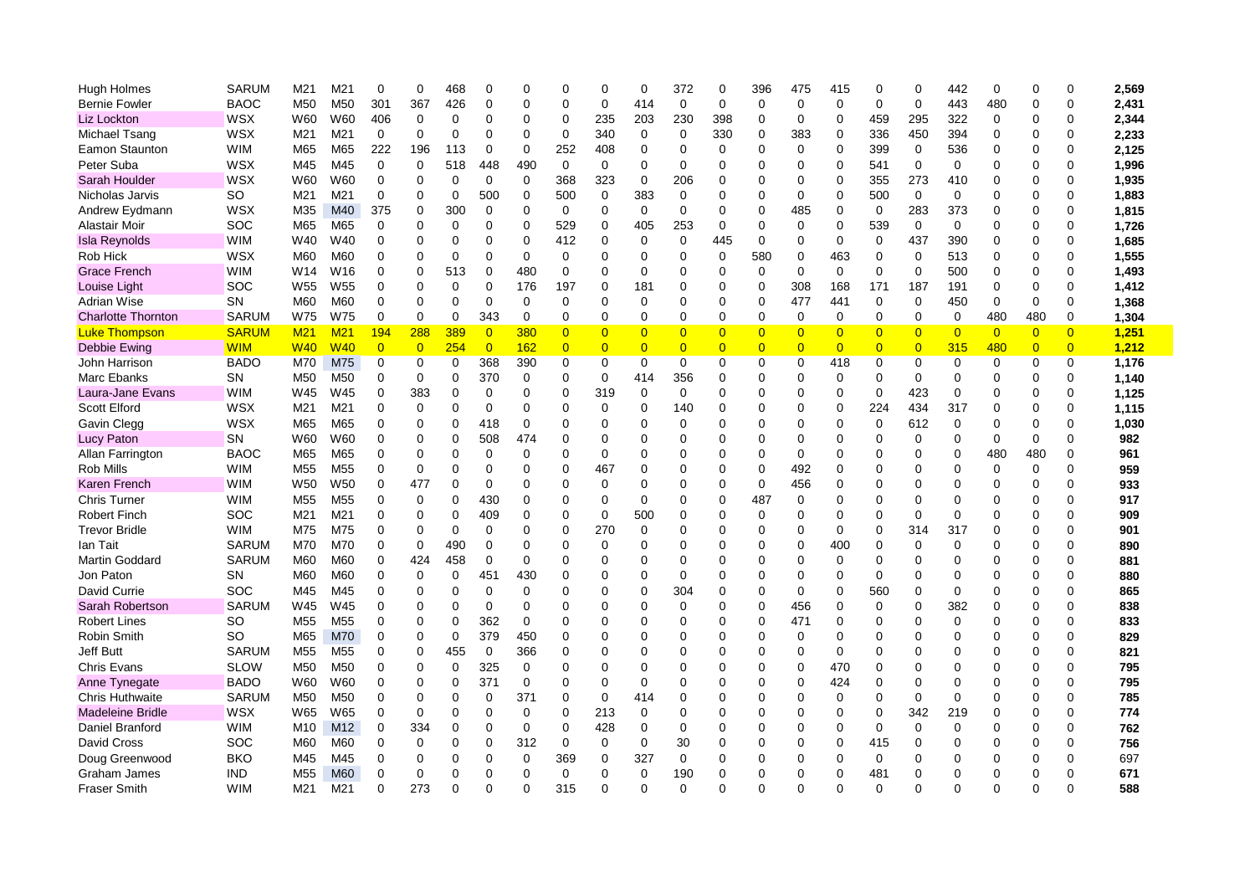| Hugh Holmes               | <b>SARUM</b> | M21             | M21             | 0              | 0              | 468         | $\Omega$       | 0           | $\Omega$       | 0              | 0              | 372            | 0              | 396            | 475            | 415            | $\Omega$       | 0              | 442            | 0              | 0              | $\Omega$       | 2,569 |
|---------------------------|--------------|-----------------|-----------------|----------------|----------------|-------------|----------------|-------------|----------------|----------------|----------------|----------------|----------------|----------------|----------------|----------------|----------------|----------------|----------------|----------------|----------------|----------------|-------|
| <b>Bernie Fowler</b>      | <b>BAOC</b>  | M <sub>50</sub> | M50             | 301            | 367            | 426         | $\Omega$       | $\Omega$    | 0              | 0              | 414            | $\mathbf 0$    | 0              | $\mathbf 0$    | $\mathbf 0$    | $\Omega$       | $\mathbf 0$    | 0              | 443            | 480            | 0              | $\Omega$       | 2,431 |
| Liz Lockton               | WSX          | W60             | W60             | 406            | 0              | 0           | $\Omega$       | 0           | 0              | 235            | 203            | 230            | 398            | 0              | 0              | $\Omega$       | 459            | 295            | 322            | 0              | 0              | $\Omega$       | 2,344 |
| Michael Tsang             | WSX          | M21             | M21             | 0              | 0              | 0           | $\Omega$       | 0           | 0              | 340            | 0              | 0              | 330            | 0              | 383            | 0              | 336            | 450            | 394            | 0              | 0              | $\mathbf 0$    | 2,233 |
| Eamon Staunton            | <b>WIM</b>   | M65             | M65             | 222            | 196            | 113         | 0              | $\mathbf 0$ | 252            | 408            | $\mathbf 0$    | $\Omega$       | 0              | $\Omega$       | $\Omega$       | $\Omega$       | 399            | $\mathbf 0$    | 536            | $\Omega$       | 0              | $\Omega$       | 2,125 |
| Peter Suba                | WSX          | M45             | M45             | $\mathbf 0$    | $\mathbf 0$    | 518         | 448            | 490         | $\mathbf 0$    | 0              | $\mathbf 0$    | 0              | 0              | $\Omega$       | 0              | 0              | 541            | 0              | $\mathbf 0$    | $\Omega$       | $\Omega$       | $\Omega$       | 1,996 |
| Sarah Houlder             | WSX          | W60             | W60             | 0              | 0              | $\Omega$    | 0              | $\mathbf 0$ | 368            | 323            | $\mathbf 0$    | 206            | 0              | $\Omega$       | 0              | $\Omega$       | 355            | 273            | 410            | $\Omega$       | 0              | $\Omega$       | 1,935 |
| Nicholas Jarvis           | SO           | M21             | M21             | 0              | 0              | 0           | 500            | $\mathbf 0$ | 500            | $\mathbf 0$    | 383            | $\mathbf 0$    | $\Omega$       | $\Omega$       | 0              | $\Omega$       | 500            | $\mathbf 0$    | $\mathbf 0$    | $\Omega$       | 0              | $\Omega$       | 1,883 |
| Andrew Eydmann            | WSX          | M35             | M40             | 375            | 0              | 300         | 0              | 0           | $\mathbf 0$    | 0              | 0              | 0              | 0              | 0              | 485            | $\Omega$       | 0              | 283            | 373            | 0              | 0              | $\Omega$       | 1,815 |
| Alastair Moir             | SOC          | M65             | M65             | 0              | 0              | 0           | $\Omega$       | 0           | 529            | 0              | 405            | 253            | 0              | 0              | 0              | 0              | 539            | $\mathbf 0$    | 0              | 0              | 0              | $\mathbf 0$    | 1,726 |
| <b>Isla Reynolds</b>      | <b>WIM</b>   | W40             | W40             | 0              | 0              | 0           | $\mathbf 0$    | $\mathbf 0$ | 412            | 0              | $\mathbf 0$    | 0              | 445            | $\mathbf 0$    | 0              | $\mathbf 0$    | $\mathbf 0$    | 437            | 390            | $\mathbf 0$    | $\Omega$       | $\overline{0}$ | 1,685 |
| Rob Hick                  | WSX          | M60             | M60             | $\Omega$       | $\Omega$       | 0           | $\Omega$       | $\Omega$    | 0              | 0              | $\Omega$       | $\Omega$       | 0              | 580            | 0              | 463            | $\Omega$       | 0              | 513            | $\Omega$       | 0              | $\Omega$       | 1,555 |
| <b>Grace French</b>       | <b>WIM</b>   | W <sub>14</sub> | W16             | $\mathbf 0$    | $\mathbf 0$    | 513         | $\Omega$       | 480         | $\mathbf 0$    | 0              | $\mathbf 0$    | 0              | 0              | $\Omega$       | $\mathbf 0$    | $\mathbf 0$    | $\Omega$       | 0              | 500            | $\Omega$       | 0              | $\Omega$       | 1,493 |
| Louise Light              | SOC          | W <sub>55</sub> | W <sub>55</sub> | 0              | 0              | $\mathbf 0$ | $\Omega$       | 176         | 197            | 0              | 181            | 0              | 0              | $\mathbf 0$    | 308            | 168            | 171            | 187            | 191            | $\Omega$       | 0              | $\Omega$       | 1,412 |
| <b>Adrian Wise</b>        | <b>SN</b>    | M60             | M60             | 0              | 0              | 0           | 0              | 0           | 0              | 0              | 0              | 0              | 0              | 0              | 477            | 441            | 0              | 0              | 450            | 0              | 0              | 0              | 1,368 |
| <b>Charlotte Thornton</b> | <b>SARUM</b> | W75             | W75             | 0              | 0              | 0           | 343            | $\mathbf 0$ | 0              | 0              | $\mathbf 0$    | 0              | 0              | $\mathbf 0$    | 0              | 0              | $\mathbf 0$    | 0              | 0              | 480            | 480            | 0              | 1,304 |
| <b>Luke Thompson</b>      | <b>SARUM</b> | M <sub>21</sub> | M <sub>21</sub> | 194            | 288            | 389         | $\overline{0}$ | 380         | $\overline{0}$ | $\overline{0}$ | $\overline{0}$ | $\overline{0}$ | $\overline{0}$ | $\overline{0}$ | $\overline{0}$ | $\overline{0}$ | $\overline{0}$ | $\overline{0}$ | $\overline{0}$ | $\overline{0}$ | $\overline{0}$ | $\overline{0}$ | 1,251 |
| Debbie Ewing              | <b>WIM</b>   | <b>W40</b>      | <b>W40</b>      | $\overline{0}$ | $\overline{0}$ | 254         | $\overline{0}$ | 162         | $\overline{0}$ | $\overline{0}$ | $\overline{0}$ | $\overline{0}$ | $\overline{0}$ | $\overline{0}$ | $\overline{0}$ | $\overline{0}$ | $\overline{0}$ | $\overline{0}$ | 315            | 480            | $\overline{0}$ | $\overline{0}$ | 1,212 |
| John Harrison             | <b>BADO</b>  | M70             | M75             | $\mathbf 0$    | $\mathbf 0$    | $\mathbf 0$ | 368            | 390         | 0              | 0              | $\mathbf 0$    | $\mathbf 0$    | 0              | $\mathbf 0$    | 0              | 418            | 0              | 0              | 0              | 0              | 0              | $\mathbf 0$    | 1,176 |
| <b>Marc Ebanks</b>        | <b>SN</b>    | M <sub>50</sub> | M <sub>50</sub> | 0              | 0              | 0           | 370            | $\mathbf 0$ | 0              | 0              | 414            | 356            | 0              | $\Omega$       | 0              | $\Omega$       | $\Omega$       | 0              | $\Omega$       | 0              | 0              | $\Omega$       | 1,140 |
| Laura-Jane Evans          | <b>WIM</b>   | W45             | W45             | 0              | 383            | 0           | 0              | 0           | 0              | 319            | 0              | 0              | 0              | 0              | $\Omega$       | $\Omega$       | 0              | 423            | 0              | 0              | 0              | 0              | 1,125 |
| <b>Scott Elford</b>       | WSX          | M21             | M21             | 0              | 0              | 0           | 0              | 0           | 0              | 0              | $\mathbf 0$    | 140            | 0              | $\Omega$       | $\Omega$       | $\mathbf 0$    | 224            | 434            | 317            | 0              | 0              | $\mathbf 0$    | 1,115 |
| Gavin Clegg               | WSX          | M65             | M65             | 0              | $\mathbf 0$    | 0           | 418            | $\mathbf 0$ | $\Omega$       | 0              | $\mathbf 0$    | 0              | 0              | $\mathbf 0$    | 0              | 0              | 0              | 612            | $\mathbf 0$    | $\overline{0}$ | 0              | $\overline{0}$ | 1,030 |
| <b>Lucy Paton</b>         | SN           | W60             | W60             | $\Omega$       | $\Omega$       | $\Omega$    | 508            | 474         | $\Omega$       | 0              | $\Omega$       | 0              | 0              | $\Omega$       | 0              | 0              | $\Omega$       | 0              | $\Omega$       | $\Omega$       | 0              | $\Omega$       | 982   |
| Allan Farrington          | <b>BAOC</b>  | M65             | M65             | $\mathbf 0$    | $\Omega$       | $\Omega$    | $\Omega$       | $\mathbf 0$ | 0              | 0              | $\Omega$       | 0              | $\Omega$       | $\Omega$       | $\mathbf 0$    | 0              | $\Omega$       | 0              | $\Omega$       | 480            | 480            | $\Omega$       | 961   |
| Rob Mills                 | <b>WIM</b>   | M <sub>55</sub> | M <sub>55</sub> | 0              | 0              | 0           | $\Omega$       | $\Omega$    | 0              | 467            | $\Omega$       | 0              | 0              | $\Omega$       | 492            | 0              | $\Omega$       | 0              | $\Omega$       | 0              | 0              | $\Omega$       | 959   |
| <b>Karen French</b>       | <b>WIM</b>   | W <sub>50</sub> | W <sub>50</sub> | 0              | 477            | 0           | 0              | 0           | 0              | 0              | $\Omega$       | 0              | 0              | 0              | 456            | 0              | $\Omega$       | 0              | $\Omega$       | 0              | 0              | 0              | 933   |
| Chris Turner              | <b>WIM</b>   | M <sub>55</sub> | M <sub>55</sub> | 0              | 0              | $\Omega$    | 430            | 0           | $\Omega$       | 0              | 0              | 0              | 0              | 487            | 0              | 0              | $\mathbf 0$    | 0              | 0              | 0              | 0              | $\Omega$       | 917   |
| <b>Robert Finch</b>       | SOC          | M21             | M21             | 0              | 0              | 0           | 409            | 0           | 0              | 0              | 500            | 0              | 0              | 0              | 0              | 0              | $\Omega$       | 0              | $\mathbf 0$    | $\Omega$       | 0              | $\Omega$       | 909   |
| <b>Trevor Bridle</b>      | <b>WIM</b>   | M75             | M75             | $\mathbf 0$    | $\Omega$       | $\Omega$    | $\Omega$       | $\Omega$    | $\Omega$       | 270            | $\mathbf 0$    | 0              | 0              | $\Omega$       | 0              | $\Omega$       | $\Omega$       | 314            | 317            | $\Omega$       | 0              | $\Omega$       | 901   |
| lan Tait                  | <b>SARUM</b> | M70             | M70             | $\Omega$       | $\mathbf 0$    | 490         | $\Omega$       | $\Omega$    | $\Omega$       | 0              | $\Omega$       | 0              | $\Omega$       | $\Omega$       | 0              | 400            | $\Omega$       | 0              | $\mathbf 0$    | $\Omega$       | 0              | $\Omega$       | 890   |
| <b>Martin Goddard</b>     | <b>SARUM</b> | M60             | M60             | 0              | 424            | 458         | 0              | 0           | 0              | 0              | $\Omega$       | 0              | 0              | $\Omega$       | 0              | $\Omega$       | $\Omega$       | 0              | $\Omega$       | $\Omega$       | 0              | $\Omega$       | 881   |
| Jon Paton                 | SN           | M60             | M60             | 0              | 0              | $\Omega$    | 451            | 430         | $\Omega$       | 0              | $\mathbf 0$    | 0              | 0              | $\Omega$       | 0              | 0              | 0              | 0              | $\mathbf 0$    | 0              | 0              | $\mathbf 0$    | 880   |
| David Currie              | <b>SOC</b>   | M45             | M45             | 0              | 0              | 0           | 0              | 0           | 0              | 0              | $\mathbf 0$    | 304            | 0              | $\mathbf 0$    | 0              | 0              | 560            | 0              | $\mathbf 0$    | 0              | 0              | $\Omega$       | 865   |
| Sarah Robertson           | <b>SARUM</b> | W45             | W45             | 0              | 0              | 0           | $\Omega$       | 0           | 0              | 0              | $\Omega$       | 0              | 0              | $\Omega$       | 456            | 0              | 0              | 0              | 382            | 0              | 0              | $\Omega$       | 838   |
| <b>Robert Lines</b>       | SO           | M <sub>55</sub> | M <sub>55</sub> | $\Omega$       | $\Omega$       | 0           | 362            | $\Omega$    | $\Omega$       | 0              | $\Omega$       | 0              | 0              | $\Omega$       | 471            | $\Omega$       | $\Omega$       | $\Omega$       | $\Omega$       | $\Omega$       | 0              | $\Omega$       | 833   |
| <b>Robin Smith</b>        | <b>SO</b>    | M65             | <b>M70</b>      | $\mathbf 0$    | $\mathbf 0$    | $\Omega$    | 379            | 450         | $\Omega$       | $\Omega$       | $\Omega$       | 0              | $\Omega$       | $\Omega$       | $\Omega$       | $\Omega$       | $\Omega$       | 0              | $\Omega$       | $\Omega$       | $\Omega$       | $\Omega$       | 829   |
| <b>Jeff Butt</b>          | <b>SARUM</b> | M <sub>55</sub> | M <sub>55</sub> | $\Omega$       | $\Omega$       | 455         | 0              | 366         | 0              | 0              | $\Omega$       | 0              | 0              | $\Omega$       | 0              | $\Omega$       | $\Omega$       | 0              | $\Omega$       | $\Omega$       | $\Omega$       | $\Omega$       | 821   |
| <b>Chris Evans</b>        | <b>SLOW</b>  | M <sub>50</sub> | M50             | 0              | 0              | $\mathbf 0$ | 325            | $\mathbf 0$ | $\Omega$       | 0              | $\Omega$       | 0              | $\Omega$       | $\Omega$       | 0              | 470            | $\Omega$       | 0              | $\mathbf 0$    | 0              | 0              | $\Omega$       | 795   |
| Anne Tynegate             | BADO         | W60             | W60             | 0              | 0              | 0           | 371            | $\mathbf 0$ | 0              | 0              | $\mathbf 0$    | 0              | 0              | $\Omega$       | 0              | 424            | $\mathbf 0$    | 0              | $\mathbf 0$    | 0              | 0              | $\Omega$       | 795   |
| <b>Chris Huthwaite</b>    | <b>SARUM</b> | M <sub>50</sub> | M <sub>50</sub> | 0              | 0              | 0           | 0              | 371         | 0              | 0              | 414            | 0              | 0              | $\Omega$       | 0              | 0              | $\Omega$       | 0              | $\mathbf 0$    | $\Omega$       | 0              | $\Omega$       | 785   |
| <b>Madeleine Bridle</b>   | WSX          | W65             | W65             | $\mathbf 0$    | 0              | $\Omega$    | $\Omega$       | $\mathbf 0$ | $\mathbf 0$    | 213            | $\mathbf 0$    | $\Omega$       | $\Omega$       | $\Omega$       | 0              | O              | $\overline{0}$ | 342            | 219            | $\overline{0}$ | $\Omega$       | $\Omega$       | 774   |
| Daniel Branford           | <b>WIM</b>   | M <sub>10</sub> | M12             | $\Omega$       | 334            | 0           | $\Omega$       | 0           | 0              | 428            | 0              | 0              | 0              | $\Omega$       | 0              | 0              | 0              | 0              | $\Omega$       | $\Omega$       | 0              | $\Omega$       | 762   |
| David Cross               | <b>SOC</b>   | M60             | M60             | 0              | 0              | 0           | 0              | 312         | $\mathbf 0$    | 0              | $\mathbf 0$    | 30             | 0              | $\Omega$       | 0              | 0              | 415            | $\Omega$       | $\Omega$       | $\Omega$       | 0              | $\Omega$       | 756   |
| Doug Greenwood            | <b>BKO</b>   | M45             | M45             | 0              | $\Omega$       | $\Omega$    | $\Omega$       | 0           | 369            | 0              | 327            | 0              | 0              | $\Omega$       | 0              | 0              | 0              | 0              | 0              | $\Omega$       | 0              | $\mathbf 0$    | 697   |
| Graham James              | <b>IND</b>   | M <sub>55</sub> | M60             | 0              | 0              | 0           | $\Omega$       | 0           | 0              | 0              | 0              | 190            | 0              | $\Omega$       | 0              | 0              | 481            | 0              | $\mathbf 0$    | $\Omega$       | 0              | $\Omega$       | 671   |
| <b>Fraser Smith</b>       | <b>WIM</b>   | M21             | M21             | $\Omega$       | 273            | 0           | $\Omega$       | $\Omega$    | 315            | 0              | $\mathbf 0$    | $\Omega$       | 0              | $\Omega$       | 0              | 0              | $\Omega$       | 0              | 0              | $\Omega$       | 0              | $\Omega$       | 588   |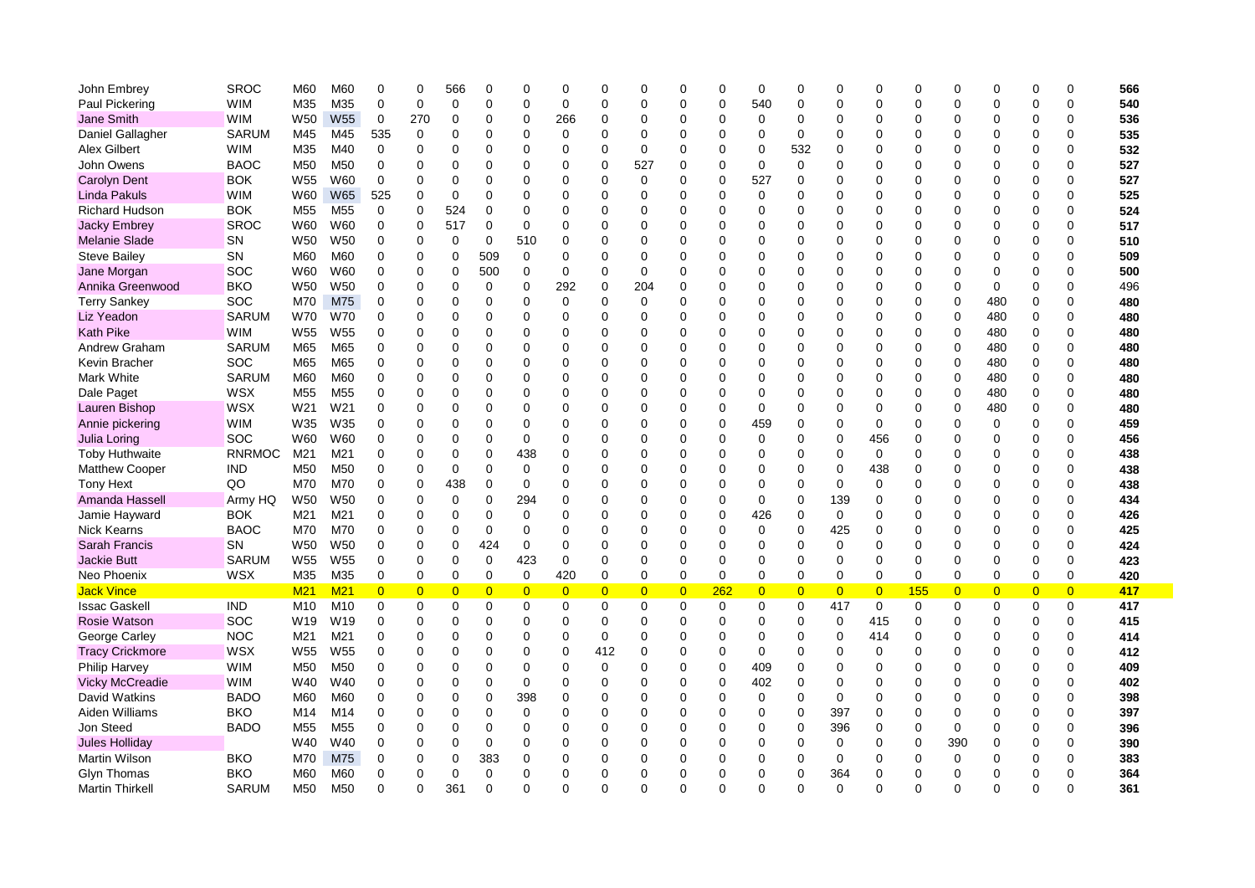| John Embrey            | <b>SROC</b>   | M60             | M60             | $\Omega$       | 0              | 566            | 0              | $\Omega$       | $\Omega$       | $\Omega$       | $\Omega$       | 0              | 0           | $\mathbf 0$    | $\Omega$       | Ω              | $\mathbf 0$    | $\Omega$    |             | $\mathbf 0$    | $\Omega$       | 0              | 566 |
|------------------------|---------------|-----------------|-----------------|----------------|----------------|----------------|----------------|----------------|----------------|----------------|----------------|----------------|-------------|----------------|----------------|----------------|----------------|-------------|-------------|----------------|----------------|----------------|-----|
| Paul Pickering         | <b>WIM</b>    | M35             | M35             | 0              | $\mathbf 0$    | 0              | $\mathbf 0$    | $\Omega$       | 0              | 0              | $\Omega$       | 0              | $\Omega$    | 540            | $\Omega$       | $\Omega$       | $\mathbf 0$    | $\Omega$    | $\Omega$    | 0              | $\Omega$       | 0              | 540 |
| Jane Smith             | <b>WIM</b>    | W <sub>50</sub> | W <sub>55</sub> | 0              | 270            | 0              | $\mathbf 0$    | $\mathbf 0$    | 266            | 0              | 0              | 0              | $\Omega$    | 0              | $\Omega$       | $\Omega$       | 0              | $\Omega$    | $\Omega$    | 0              | 0              | 0              | 536 |
| Daniel Gallagher       | <b>SARUM</b>  | M45             | M45             | 535            | $\mathbf 0$    | $\Omega$       | $\mathbf 0$    | $\mathbf 0$    | 0              | 0              | $\overline{0}$ | 0              | 0           | $\mathbf 0$    | 0              | $\Omega$       | 0              | 0           | $\Omega$    | 0              | $\mathbf 0$    | $\Omega$       | 535 |
| Alex Gilbert           | <b>WIM</b>    | M35             | M40             | 0              | 0              | 0              | $\mathbf 0$    | $\mathbf 0$    | 0              | 0              | 0              | 0              | 0           | 0              | 532            | $\Omega$       | 0              | 0           | $\Omega$    | 0              | $\mathbf 0$    | 0              | 532 |
| John Owens             | <b>BAOC</b>   | M <sub>50</sub> | M <sub>50</sub> | 0              | $\Omega$       | 0              | 0              | $\Omega$       | 0              | 0              | 527            | 0              | 0           | 0              | $\mathbf 0$    | $\mathbf 0$    | 0              | 0           | 0           | 0              | $\mathbf 0$    | 0              | 527 |
| <b>Carolyn Dent</b>    | <b>BOK</b>    | W <sub>55</sub> | W60             | $\mathbf 0$    | $\Omega$       | $\Omega$       | $\Omega$       | $\Omega$       | 0              | $\Omega$       | $\Omega$       | $\Omega$       | $\Omega$    | 527            | $\Omega$       | $\Omega$       | $\Omega$       | $\Omega$    | $\Omega$    | 0              | $\mathbf 0$    | $\Omega$       | 527 |
| <b>Linda Pakuls</b>    | <b>WIM</b>    | W60             | <b>W65</b>      | 525            | $\mathbf 0$    | 0              | $\Omega$       | $\Omega$       | 0              | $\Omega$       | $\Omega$       | 0              | $\Omega$    | $\mathbf 0$    | $\Omega$       | $\Omega$       | $\Omega$       | $\Omega$    | $\Omega$    | 0              | $\Omega$       | $\Omega$       | 525 |
| <b>Richard Hudson</b>  | <b>BOK</b>    | M <sub>55</sub> | M <sub>55</sub> | 0              | 0              | 524            | $\mathbf 0$    | $\Omega$       | 0              | 0              | $\Omega$       | 0              | $\Omega$    | $\Omega$       | 0              | $\Omega$       | 0              | $\Omega$    | $\Omega$    | 0              | $\Omega$       | 0              | 524 |
| <b>Jacky Embrey</b>    | <b>SROC</b>   | W60             | W60             | $\mathbf 0$    | 0              | 517            | $\mathbf 0$    | $\mathbf 0$    | 0              | 0              | 0              | 0              | $\Omega$    | 0              | $\Omega$       | $\Omega$       | 0              | $\Omega$    | $\Omega$    | 0              | $\mathbf 0$    | 0              | 517 |
| <b>Melanie Slade</b>   | SN            | W <sub>50</sub> | W <sub>50</sub> | 0              | 0              | 0              | $\mathbf 0$    | 510            | 0              | 0              | $\Omega$       | 0              | 0           | $\Omega$       | 0              | 0              | 0              | 0           | $\Omega$    | 0              | $\Omega$       | $\Omega$       | 510 |
| <b>Steve Bailey</b>    | SΝ            | M60             | M60             | 0              | 0              | $\Omega$       | 509            | $\Omega$       | 0              | 0              | $\Omega$       | 0              | $\Omega$    | $\Omega$       | 0              | 0              | 0              | $\Omega$    | $\Omega$    | 0              | 0              | 0              | 509 |
| Jane Morgan            | SOC           | W60             | W60             | 0              | 0              | $\Omega$       | 500            | $\mathbf 0$    | 0              | 0              | $\mathbf 0$    | 0              | 0           | $\Omega$       | $\Omega$       | $\Omega$       | $\Omega$       | $\Omega$    | $\Omega$    | 0              | $\mathbf 0$    | $\Omega$       | 500 |
| Annika Greenwood       | <b>BKO</b>    | W50             | W <sub>50</sub> | 0              | 0              | $\overline{0}$ | $\mathbf 0$    | $\mathbf 0$    | 292            | $\overline{0}$ | 204            | 0              | $\mathbf 0$ | $\mathbf 0$    | 0              | $\Omega$       | 0              | 0           | $\Omega$    | 0              | $\overline{0}$ | 0              | 496 |
| <b>Terry Sankey</b>    | SOC           | M70             | M75             | $\mathbf 0$    | $\mathbf 0$    | $\Omega$       | $\mathbf 0$    | $\mathbf 0$    | $\mathbf 0$    | $\Omega$       | 0              | $\Omega$       | $\mathbf 0$ | $\mathbf 0$    | 0              | $\Omega$       | 0              | 0           | $\Omega$    | 480            | $\mathbf 0$    | 0              | 480 |
| Liz Yeadon             | <b>SARUM</b>  | <b>W70</b>      | W70             | 0              | $\Omega$       | $\Omega$       | $\Omega$       | $\Omega$       | 0              | $\Omega$       | $\Omega$       | $\Omega$       | $\mathbf 0$ | $\Omega$       | 0              | $\Omega$       | $\Omega$       | $\Omega$    | $\Omega$    | 480            | $\mathbf 0$    | 0              | 480 |
| <b>Kath Pike</b>       | <b>WIM</b>    | W <sub>55</sub> | W <sub>55</sub> | $\Omega$       | $\Omega$       | $\Omega$       | $\Omega$       | $\Omega$       | 0              | $\Omega$       | $\Omega$       | $\Omega$       | $\Omega$    | $\Omega$       | $\Omega$       | $\Omega$       | $\Omega$       | $\Omega$    | $\Omega$    | 480            | $\mathbf 0$    | 0              | 480 |
| Andrew Graham          | <b>SARUM</b>  | M65             | M65             | $\Omega$       | $\Omega$       | $\Omega$       | $\mathbf 0$    | $\Omega$       | 0              | $\Omega$       | $\Omega$       | 0              | 0           | $\Omega$       | 0              | 0              | 0              | $\Omega$    | $\Omega$    | 480            | $\mathbf 0$    | 0              | 480 |
| Kevin Bracher          | <b>SOC</b>    | M65             | M65             | $\Omega$       | $\Omega$       | $\Omega$       | $\Omega$       | $\Omega$       | 0              | $\Omega$       | $\Omega$       | $\Omega$       | $\Omega$    | $\Omega$       | $\Omega$       | $\Omega$       | 0              | $\Omega$    | $\Omega$    | 480            | $\mathbf 0$    | 0              | 480 |
| <b>Mark White</b>      | <b>SARUM</b>  | M60             | M60             | 0              | $\Omega$       | $\Omega$       | 0              | $\Omega$       | 0              | 0              | 0              | 0              | 0           | 0              | $\Omega$       | $\Omega$       | 0              | $\Omega$    | $\Omega$    | 480            | $\mathbf 0$    | 0              | 480 |
| Dale Paget             | <b>WSX</b>    | M <sub>55</sub> | M <sub>55</sub> | 0              | 0              | 0              | 0              | $\mathbf 0$    | 0              | 0              | 0              | 0              | 0           | 0              | $\Omega$       | $\Omega$       | 0              | $\Omega$    | $\Omega$    | 480            | 0              | 0              | 480 |
| Lauren Bishop          | <b>WSX</b>    | W21             | W21             | 0              | $\Omega$       | $\Omega$       | $\overline{0}$ | $\mathbf 0$    | 0              | 0              | 0              | 0              | 0           | 0              | $\Omega$       | $\Omega$       | 0              | 0           | $\Omega$    | 480            | $\mathbf 0$    | 0              | 480 |
| Annie pickering        | <b>WIM</b>    | W35             | W35             | 0              | $\Omega$       | 0              | 0              | $\mathbf 0$    | 0              | 0              | $\mathbf 0$    | $\Omega$       | 0           | 459            | 0              | $\Omega$       | $\mathbf 0$    | 0           | $\Omega$    | 0              | $\overline{0}$ | 0              | 459 |
| Julia Loring           | SOC           | W60             | W60             | $\Omega$       | $\Omega$       | $\Omega$       | $\Omega$       | $\Omega$       | 0              | $\Omega$       | $\Omega$       | $\Omega$       | 0           | $\mathbf 0$    | $\Omega$       | $\Omega$       | 456            | $\Omega$    |             | 0              | $\mathbf 0$    | $\Omega$       | 456 |
| Toby Huthwaite         | <b>RNRMOC</b> | M21             | M21             | $\Omega$       | $\Omega$       | $\Omega$       | $\Omega$       | 438            | $\Omega$       | $\Omega$       | $\Omega$       | 0              | $\Omega$    | $\Omega$       | $\Omega$       | $\Omega$       | $\mathbf 0$    | $\Omega$    | $\Omega$    | 0              | $\mathbf 0$    | $\Omega$       | 438 |
| <b>Matthew Cooper</b>  | IND           | M <sub>50</sub> | M <sub>50</sub> | $\Omega$       | $\Omega$       | 0              | $\Omega$       | 0              | 0              | 0              | $\Omega$       | 0              | $\Omega$    | $\Omega$       | $\Omega$       | $\Omega$       | 438            | $\Omega$    | $\Omega$    | 0              | $\Omega$       | $\Omega$       | 438 |
| <b>Tony Hext</b>       | QO            | M70             | M70             | 0              | 0              | 438            | $\mathbf 0$    | 0              | 0              | $\Omega$       | $\Omega$       | 0              | $\Omega$    | $\Omega$       | $\Omega$       | $\Omega$       | 0              | $\Omega$    | $\Omega$    | 0              | $\Omega$       | 0              | 438 |
| Amanda Hassell         | Army HQ       | W <sub>50</sub> | W <sub>50</sub> | 0              | 0              | 0              | 0              | 294            | 0              | 0              | 0              | 0              | 0           | 0              | 0              | 139            | 0              | $\Omega$    | $\Omega$    | 0              | 0              | 0              | 434 |
| Jamie Hayward          | <b>BOK</b>    | M21             | M21             | $\Omega$       | 0              | $\Omega$       | 0              | $\Omega$       | 0              | 0              | 0              | 0              | $\Omega$    | 426            | 0              | 0              | 0              | 0           | $\Omega$    | 0              | 0              | 0              | 426 |
| <b>Nick Kearns</b>     | <b>BAOC</b>   | M70             | M70             | 0              | $\Omega$       | $\Omega$       | 0              | $\Omega$       | 0              | 0              | $\Omega$       | 0              | 0           | 0              | 0              | 425            | 0              | 0           | $\Omega$    | 0              | $\mathbf 0$    | $\Omega$       | 425 |
| <b>Sarah Francis</b>   | SN            | W50             | W <sub>50</sub> | 0              | $\mathbf 0$    | 0              | 424            | $\mathbf 0$    | $\mathbf 0$    | $\Omega$       | $\Omega$       | 0              | $\Omega$    | $\Omega$       | $\Omega$       | $\mathbf 0$    | $\Omega$       | $\Omega$    | $\Omega$    | 0              | $\mathbf 0$    | 0              | 424 |
| <b>Jackie Butt</b>     | <b>SARUM</b>  | W <sub>55</sub> | W <sub>55</sub> | $\mathbf 0$    | $\mathbf 0$    | $\Omega$       | 0              | 423            | 0              | $\mathbf 0$    | $\Omega$       | 0              | $\Omega$    | $\Omega$       | $\Omega$       | $\Omega$       | $\Omega$       | $\Omega$    | $\Omega$    | 0              | $\mathbf 0$    | 0              | 423 |
| Neo Phoenix            | WSX           | M35             | M35             | $\mathbf 0$    | $\pmb{0}$      | 0              | $\mathbf 0$    | 0              | 420            | $\pmb{0}$      | $\overline{0}$ | $\mathbf 0$    | $\pmb{0}$   | $\mathbf 0$    | $\mathbf 0$    | $\Omega$       | $\pmb{0}$      | $\mathbf 0$ | 0           | 0              | $\mathbf 0$    | 0              | 420 |
| <b>Jack Vince</b>      |               | M <sub>21</sub> | M <sub>21</sub> | $\overline{0}$ | $\overline{0}$ | $\overline{0}$ | $\overline{0}$ | $\overline{0}$ | $\overline{0}$ | $\overline{0}$ | $\overline{0}$ | $\overline{0}$ | 262         | $\overline{0}$ | $\overline{0}$ | $\overline{0}$ | $\overline{0}$ | 155         | $\Omega$    | $\overline{0}$ | $\overline{0}$ | $\overline{0}$ | 417 |
| <b>Issac Gaskell</b>   | <b>IND</b>    | M <sub>10</sub> | M <sub>10</sub> | 0              | 0              | 0              | 0              | 0              | 0              | 0              | $\Omega$       | 0              | 0           | $\Omega$       | $\mathbf 0$    | 417            | $\mathbf 0$    | 0           | 0           | 0              | $\mathbf 0$    | 0              | 417 |
| Rosie Watson           | SOC           | W <sub>19</sub> | W <sub>19</sub> | $\Omega$       | 0              | $\Omega$       | 0              | $\Omega$       | 0              | 0              | $\Omega$       | 0              | $\Omega$    | $\Omega$       | $\mathbf 0$    | 0              | 415            | 0           | $\Omega$    | 0              | $\mathbf 0$    | 0              | 415 |
| George Carley          | <b>NOC</b>    | M21             | M21             | 0              | 0              | $\Omega$       | $\Omega$       | $\Omega$       | 0              | 0              | 0              | 0              | $\Omega$    | $\Omega$       | $\Omega$       | $\Omega$       | 414            | 0           | $\Omega$    | 0              | 0              | $\Omega$       | 414 |
| <b>Tracy Crickmore</b> | <b>WSX</b>    | W <sub>55</sub> | W <sub>55</sub> | 0              | 0              | 0              | 0              | $\mathbf 0$    | 0              | 412            | 0              | 0              | $\Omega$    | 0              | $\Omega$       | 0              | 0              | 0           | $\Omega$    | 0              | $\mathbf 0$    | 0              | 412 |
| <b>Philip Harvey</b>   | <b>WIM</b>    | M <sub>50</sub> | M <sub>50</sub> | 0              | 0              | 0              | 0              | $\mathbf 0$    | 0              | 0              | 0              | 0              | $\Omega$    | 409            | 0              | $\Omega$       | 0              | 0           | $\Omega$    | 0              | 0              | 0              | 409 |
| <b>Vicky McCreadie</b> | <b>WIM</b>    | W40             | W40             | $\mathbf 0$    | $\Omega$       | $\Omega$       | $\Omega$       | $\Omega$       | $\Omega$       | $\Omega$       | $\Omega$       | $\Omega$       | $\Omega$    | 402            | $\Omega$       | $\mathbf 0$    | $\Omega$       | $\Omega$    | $\Omega$    | 0              | $\Omega$       | $\Omega$       | 402 |
| David Watkins          | <b>BADO</b>   | M60             | M60             | $\Omega$       | $\Omega$       | 0              | $\mathbf 0$    | 398            | 0              | 0              | $\Omega$       | 0              | $\Omega$    | 0              | $\Omega$       | 0              | 0              | $\Omega$    | $\Omega$    | 0              | $\mathbf 0$    | 0              | 398 |
| Aiden Williams         | <b>BKO</b>    | M14             | M14             | $\Omega$       | $\Omega$       | $\Omega$       | $\mathbf 0$    | $\Omega$       | 0              | 0              | $\Omega$       | 0              | 0           | $\Omega$       | $\mathbf 0$    | 397            | $\Omega$       | $\Omega$    | $\Omega$    | 0              | $\mathbf 0$    | $\Omega$       | 397 |
| Jon Steed              | <b>BADO</b>   | M <sub>55</sub> | M55             | $\Omega$       | $\Omega$       | $\Omega$       | $\Omega$       | $\Omega$       | 0              | $\Omega$       | $\Omega$       | 0              | $\Omega$    | $\Omega$       | $\Omega$       | 396            | $\Omega$       | $\Omega$    | $\Omega$    | 0              | $\Omega$       | 0              | 396 |
| <b>Jules Holliday</b>  |               | W40             | W40             | 0              | 0              | $\Omega$       | $\mathbf 0$    | $\Omega$       | 0              | 0              | $\Omega$       | 0              | $\Omega$    | $\Omega$       | $\mathbf 0$    | 0              | 0              | $\Omega$    | 390         | 0              | $\Omega$       | $\Omega$       | 390 |
| <b>Martin Wilson</b>   | BKO           | M70             | M75             | O              | $\Omega$       | $\Omega$       | 383            | 0              | 0              | 0              | 0              | 0              | 0           | 0              | 0              | 0              | 0              | 0           | $\mathbf 0$ | 0              | $\mathbf 0$    | 0              | 383 |
| Glyn Thomas            | BKO           | M60             | M60             | 0              | $\Omega$       | 0              | 0              | $\mathbf 0$    | 0              | 0              | 0              | 0              | 0           | $\mathbf 0$    | $\mathbf 0$    | 364            | 0              | 0           | $\Omega$    | 0              | $\overline{0}$ | 0              | 364 |
| <b>Martin Thirkell</b> | <b>SARUM</b>  | M <sub>50</sub> | M <sub>50</sub> | 0              | $\Omega$       | 361            | 0              | $\Omega$       | 0              | 0              | $\Omega$       | $\Omega$       | 0           | $\Omega$       | $\Omega$       | $\Omega$       | $\Omega$       | 0           | $\Omega$    | $\overline{0}$ | $\Omega$       | $\Omega$       | 361 |